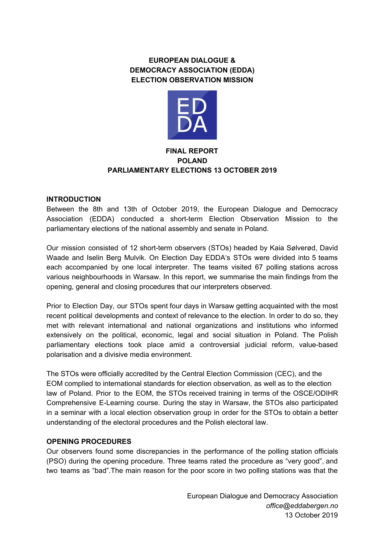# **EUROPEAN DIALOGUE & DEMOCRACY ASSOCIATION (EDDA) ELECTION OBSERVATION MISSION**



## **FINAL REPORT POLAND PARLIAMENTARY ELECTIONS 13 OCTOBER 2019**

## **INTRODUCTION**

Between the 8th and 13th of October 2019, the European Dialogue and Democracy Association (EDDA) conducted a short-term Election Observation Mission to the parliamentary elections of the national assembly and senate in Poland.

Our mission consisted of 12 short-term observers (STOs) headed by Kaia Sølverød, David Waade and Iselin Berg Mulvik. On Election Day EDDA's STOs were divided into 5 teams each accompanied by one local interpreter. The teams visited 67 polling stations across various neighbourhoods in Warsaw. In this report, we summarise the main findings from the opening, general and closing procedures that our interpreters observed.

Prior to Election Day, our STOs spent four days in Warsaw getting acquainted with the most recent political developments and context of relevance to the election. In order to do so, they met with relevant international and national organizations and institutions who informed extensively on the political, economic, legal and social situation in Poland. The Polish parliamentary elections took place amid a controversial judicial reform, value-based polarisation and a divisive media environment.

The STOs were officially accredited by the Central Election Commission (CEC), and the EOM complied to international standards for election observation, as well as to the election law of Poland. Prior to the EOM, the STOs received training in terms of the OSCE/ODIHR Comprehensive E-Learning course. During the stay in Warsaw, the STOs also participated in a seminar with a local election observation group in order for the STOs to obtain a better understanding of the electoral procedures and the Polish electoral law.

## **OPENING PROCEDURES**

Our observers found some discrepancies in the performance of the polling station officials (PSO) during the opening procedure. Three teams rated the procedure as "very good", and two teams as "bad".The main reason for the poor score in two polling stations was that the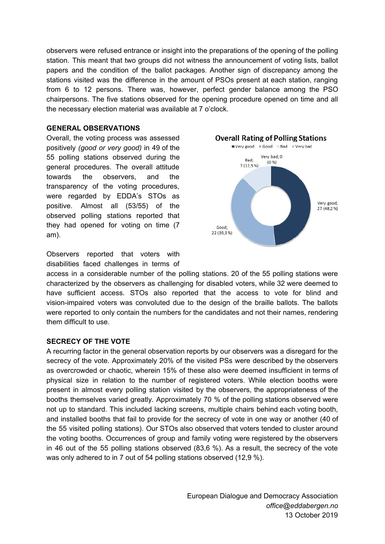observers were refused entrance or insight into the preparations of the opening of the polling station. This meant that two groups did not witness the announcement of voting lists, ballot papers and the condition of the ballot packages. Another sign of discrepancy among the stations visited was the difference in the amount of PSOs present at each station, ranging from 6 to 12 persons. There was, however, perfect gender balance among the PSO chairpersons. The five stations observed for the opening procedure opened on time and all the necessary election material was available at 7 o'clock.

#### **GENERAL OBSERVATIONS**

Overall, the voting process was assessed positively *(good or very good)* in 49 of the 55 polling stations observed during the general procedures. The overall attitude towards the observers, and the transparency of the voting procedures, were regarded by EDDA's STOs as positive. Almost all (53/55) of the observed polling stations reported that they had opened for voting on time (7 am).

Observers reported that voters with disabilities faced challenges in terms of



access in a considerable number of the polling stations. 20 of the 55 polling stations were characterized by the observers as challenging for disabled voters, while 32 were deemed to have sufficient access. STOs also reported that the access to vote for blind and vision-impaired voters was convoluted due to the design of the braille ballots. The ballots were reported to only contain the numbers for the candidates and not their names, rendering them difficult to use.

## **SECRECY OF THE VOTE**

A recurring factor in the general observation reports by our observers was a disregard for the secrecy of the vote. Approximately 20% of the visited PSs were described by the observers as overcrowded or chaotic, wherein 15% of these also were deemed insufficient in terms of physical size in relation to the number of registered voters. While election booths were present in almost every polling station visited by the observers, the appropriateness of the booths themselves varied greatly. Approximately 70 % of the polling stations observed were not up to standard. This included lacking screens, multiple chairs behind each voting booth, and installed booths that fail to provide for the secrecy of vote in one way or another (40 of the 55 visited polling stations). Our STOs also observed that voters tended to cluster around the voting booths. Occurrences of group and family voting were registered by the observers in 46 out of the 55 polling stations observed (83,6 %). As a result, the secrecy of the vote was only adhered to in 7 out of 54 polling stations observed (12,9 %).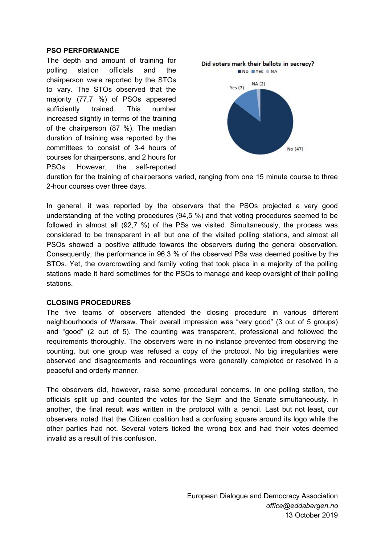#### **PSO PERFORMANCE**

The depth and amount of training for polling station officials and the chairperson were reported by the STOs to vary. The STOs observed that the majority (77,7 %) of PSOs appeared sufficiently trained. This number increased slightly in terms of the training of the chairperson (87 %). The median duration of training was reported by the committees to consist of 3-4 hours of courses for chairpersons, and 2 hours for PSOs. However, the self-reported



duration for the training of chairpersons varied, ranging from one 15 minute course to three 2-hour courses over three days.

In general, it was reported by the observers that the PSOs projected a very good understanding of the voting procedures (94,5 %) and that voting procedures seemed to be followed in almost all (92,7 %) of the PSs we visited. Simultaneously, the process was considered to be transparent in all but one of the visited polling stations, and almost all PSOs showed a positive attitude towards the observers during the general observation. Consequently, the performance in 96,3 % of the observed PSs was deemed positive by the STOs. Yet, the overcrowding and family voting that took place in a majority of the polling stations made it hard sometimes for the PSOs to manage and keep oversight of their polling stations.

#### **CLOSING PROCEDURES**

The five teams of observers attended the closing procedure in various different neighbourhoods of Warsaw. Their overall impression was "very good" (3 out of 5 groups) and "good" (2 out of 5). The counting was transparent, professional and followed the requirements thoroughly. The observers were in no instance prevented from observing the counting, but one group was refused a copy of the protocol. No big irregularities were observed and disagreements and recountings were generally completed or resolved in a peaceful and orderly manner.

The observers did, however, raise some procedural concerns. In one polling station, the officials split up and counted the votes for the Sejm and the Senate simultaneously. In another, the final result was written in the protocol with a pencil. Last but not least, our observers noted that the Citizen coalition had a confusing square around its logo while the other parties had not. Several voters ticked the wrong box and had their votes deemed invalid as a result of this confusion.